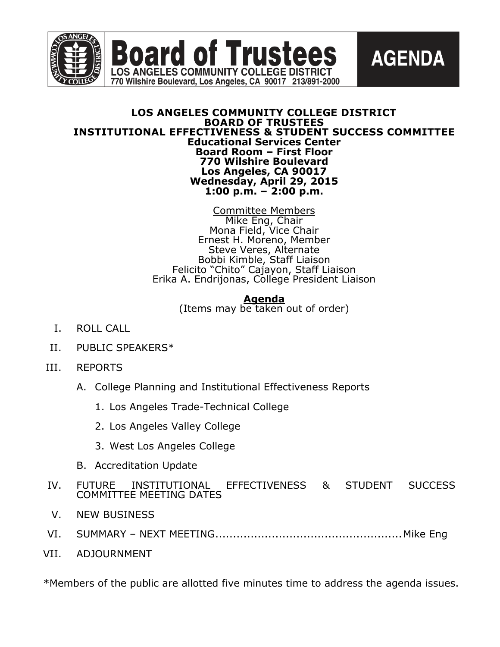



#### **LOS ANGELES COMMUNITY COLLEGE DISTRICT BOARD OF TRUSTEES INSTITUTIONAL EFFECTIVENESS & STUDENT SUCCESS COMMITTEE Educational Services Center Board Room – First Floor 770 Wilshire Boulevard Los Angeles, CA 90017 Wednesday, April 29, 2015 1:00 p.m. – 2:00 p.m.**

Committee Members Mike Eng, Chair Mona Field, Vice Chair Ernest H. Moreno, Member Steve Veres, Alternate Bobbi Kimble, Staff Liaison Felicito "Chito" Cajayon, Staff Liaison Erika A. Endrijonas, College President Liaison

**Agenda**

(Items may be taken out of order)

- I. ROLL CALL
- II. PUBLIC SPEAKERS\*
- III. REPORTS
	- A. College Planning and Institutional Effectiveness Reports
		- 1. Los Angeles Trade-Technical College
		- 2. Los Angeles Valley College
		- 3. West Los Angeles College
	- B. Accreditation Update
- IV. FUTURE INSTITUTIONAL EFFECTIVENESS & STUDENT SUCCESS COMMITTEE MEETING DATES
- V. NEW BUSINESS
- VI. SUMMARY NEXT MEETING.....................................................Mike Eng
- VII. ADJOURNMENT

\*Members of the public are allotted five minutes time to address the agenda issues.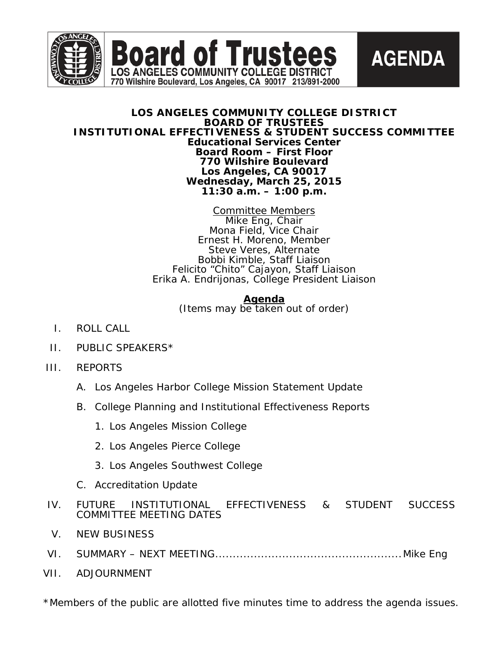



**AGENDA** 

**Board of Trustees** 

LOS ANGELES COMMUNITY COLLEGE DISTRICT 770 Wilshire Boulevard, Los Angeles, CA 90017 213/891-2000

> Committee Members Mike Eng, Chair Mona Field, Vice Chair Ernest H. Moreno, Member Steve Veres, Alternate Bobbi Kimble, Staff Liaison Felicito "Chito" Cajayon, Staff Liaison Erika A. Endrijonas, College President Liaison

> > **Agenda** (Items may be taken out of order)

- I. ROLL CALL
- II. PUBLIC SPEAKERS\*
- III. REPORTS
	- A. Los Angeles Harbor College Mission Statement Update
	- B. College Planning and Institutional Effectiveness Reports
		- 1. Los Angeles Mission College
		- 2. Los Angeles Pierce College
		- 3. Los Angeles Southwest College
	- C. Accreditation Update
- IV. FUTURE INSTITUTIONAL EFFECTIVENESS & STUDENT SUCCESS COMMITTEE MEETING DATES
- V. NEW BUSINESS
- VI. SUMMARY NEXT MEETING.....................................................Mike Eng
- VII. ADJOURNMENT

\*Members of the public are allotted five minutes time to address the agenda issues.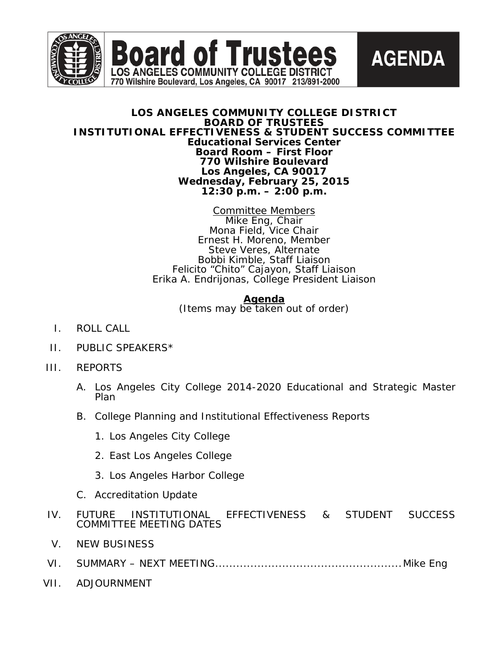



#### **LOS ANGELES COMMUNITY COLLEGE DISTRICT BOARD OF TRUSTEES INSTITUTIONAL EFFECTIVENESS & STUDENT SUCCESS COMMITTEE Educational Services Center Board Room – First Floor 770 Wilshire Boulevard Los Angeles, CA 90017 Wednesday, February 25, 2015 12:30 p.m. – 2:00 p.m.**

**Board of Trustees** 

LOS ANGELES COMMUNITY COLLEGE DISTRICT 770 Wilshire Boulevard, Los Angeles, CA 90017 213/891-2000

> Committee Members Mike Eng, Chair Mona Field, Vice Chair Ernest H. Moreno, Member Steve Veres, Alternate Bobbi Kimble, Staff Liaison Felicito "Chito" Cajayon, Staff Liaison Erika A. Endrijonas, College President Liaison

> > **Agenda**

(Items may be taken out of order)

- I. ROLL CALL
- II. PUBLIC SPEAKERS\*
- III. REPORTS
	- A. Los Angeles City College 2014-2020 Educational and Strategic Master Plan
	- B. College Planning and Institutional Effectiveness Reports
		- 1. Los Angeles City College
		- 2. East Los Angeles College
		- 3. Los Angeles Harbor College
	- C. Accreditation Update
- IV. FUTURE INSTITUTIONAL EFFECTIVENESS & STUDENT SUCCESS COMMITTEE MEETING DATES
- V. NEW BUSINESS
- VI. SUMMARY NEXT MEETING.....................................................Mike Eng
- VII. ADJOURNMENT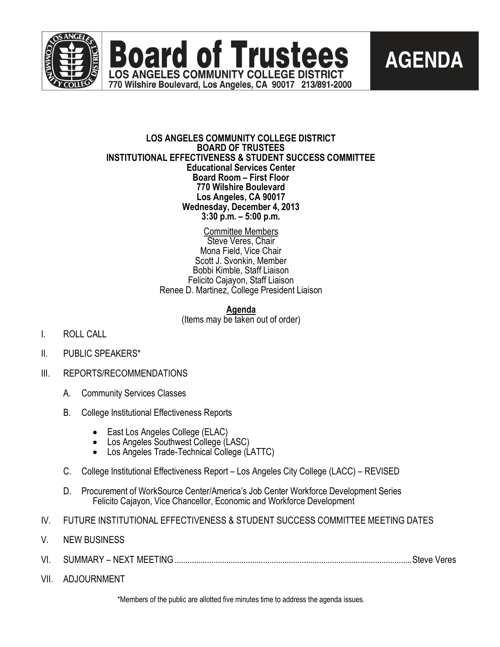





#### **LOS ANGELES COMMUNITY COLLEGE DISTRICT BOARD OF TRUSTEES INSTITUTIONAL EFFECTIVENESS & STUDENT SUCCESS COMMITTEE Educational Services Center Board Room – First Floor 770 Wilshire Boulevard Los Angeles, CA 90017 Wednesday, December 4, 2013 3:30 p.m. – 5:00 p.m.**

Committee Members Steve Veres, Chair Mona Field, Vice Chair Scott J. Svonkin, Member Bobbi Kimble, Staff Liaison Felicito Cajayon, Staff Liaison Renee D. Martinez, College President Liaison

## **Agenda**

(Items may be taken out of order)

- I. ROLL CALL
- II. PUBLIC SPEAKERS\*
- III. REPORTS/RECOMMENDATIONS
	- A. Community Services Classes
	- B. College Institutional Effectiveness Reports
		-
		- East Los Angeles College (ELAC)<br>• Los Angeles Southwest College (LASC)<br>• Los Angeles Trade-Technical College (LATTC)
		-
	- C. College Institutional Effectiveness Report Los Angeles City College (LACC) REVISED
	- D. Procurement of WorkSource Center/America's Job Center Workforce Development Series Felicito Cajayon, Vice Chancellor, Economic and Workforce Development
- IV. FUTURE INSTITUTIONAL EFFECTIVENESS & STUDENT SUCCESS COMMITTEE MEETING DATES
- V. NEW BUSINESS
- VI. SUMMARY NEXT MEETING..............................................................................................................Steve Veres
- VII. ADJOURNMENT

\*Members of the public are allotted five minutes time to address the agenda issues.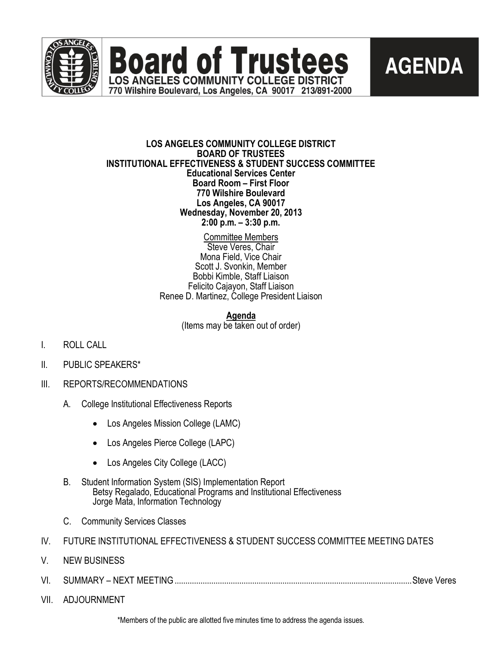

**Board of Trustees** LOS ANGELES COMMUNITY COLLEGE DISTRICT 770 Wilshire Boulevard, Los Angeles, CA 90017 213/891-2000



## **LOS ANGELES COMMUNITY COLLEGE DISTRICT BOARD OF TRUSTEES INSTITUTIONAL EFFECTIVENESS & STUDENT SUCCESS COMMITTEE Educational Services Center Board Room – First Floor 770 Wilshire Boulevard Los Angeles, CA 90017 Wednesday, November 20, 2013 2:00 p.m. – 3:30 p.m.**

Committee Members Steve Veres, Chair Mona Field, Vice Chair Scott J. Svonkin, Member Bobbi Kimble, Staff Liaison Felicito Cajayon, Staff Liaison Renee D. Martinez, College President Liaison

> **Agenda** (Items may be taken out of order)

- I. ROLL CALL
- II. PUBLIC SPEAKERS\*
- III. REPORTS/RECOMMENDATIONS
	- A. College Institutional Effectiveness Reports
		- Los Angeles Mission College (LAMC)
		- Los Angeles Pierce College (LAPC)
		- Los Angeles City College (LACC)
	- B. Student Information System (SIS) Implementation Report Betsy Regalado, Educational Programs and Institutional Effectiveness Jorge Mata, Information Technology
	- C. Community Services Classes
- IV. FUTURE INSTITUTIONAL EFFECTIVENESS & STUDENT SUCCESS COMMITTEE MEETING DATES
- V. NEW BUSINESS
- VI. SUMMARY NEXT MEETING..............................................................................................................Steve Veres
- VII. ADJOURNMENT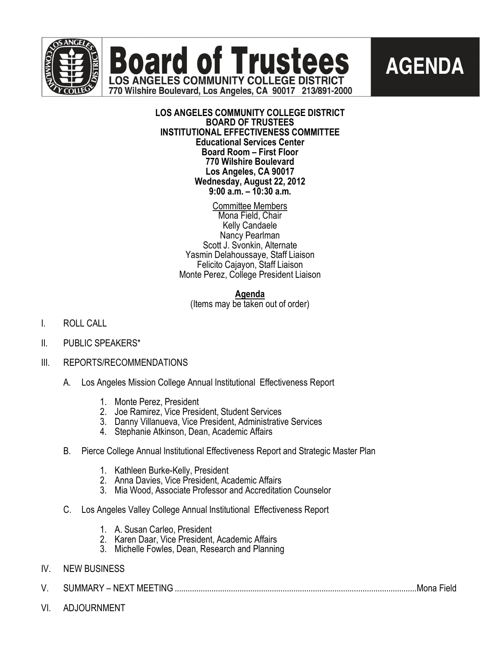



# **AGENDA**

**LOS ANGELES COMMUNITY COLLEGE DISTRICT BOARD OF TRUSTEES INSTITUTIONAL EFFECTIVENESS COMMITTEE Educational Services Center Board Room – First Floor 770 Wilshire Boulevard Los Angeles, CA 90017 Wednesday, August 22, 2012 9:00 a.m. – 10:30 a.m.**

> Committee Members Mona Field, Chair Kelly Candaele Nancy Pearlman Scott J. Svonkin, Alternate Yasmin Delahoussaye, Staff Liaison Felicito Cajayon, Staff Liaison Monte Perez, College President Liaison

## **Agenda**

(Items may be taken out of order)

- I. ROLL CALL
- II. PUBLIC SPEAKERS\*
- III. REPORTS/RECOMMENDATIONS
	- A. Los Angeles Mission College Annual Institutional Effectiveness Report
		- 1. Monte Perez, President
		- 2. Joe Ramirez, Vice President, Student Services
		- 3. Danny Villanueva, Vice President, Administrative Services
		- 4. Stephanie Atkinson, Dean, Academic Affairs
	- B. Pierce College Annual Institutional Effectiveness Report and Strategic Master Plan
		- 1. Kathleen Burke-Kelly, President
		- 2. Anna Davies, Vice President, Academic Affairs
		- 3. Mia Wood, Associate Professor and Accreditation Counselor
	- C. Los Angeles Valley College Annual Institutional Effectiveness Report
		- 1. A. Susan Carleo, President
		- 2. Karen Daar, Vice President, Academic Affairs
		- 3. Michelle Fowles, Dean, Research and Planning
- IV. NEW BUSINESS
- V. SUMMARY NEXT MEETING ................................................................................................................Mona Field
- VI. ADJOURNMENT